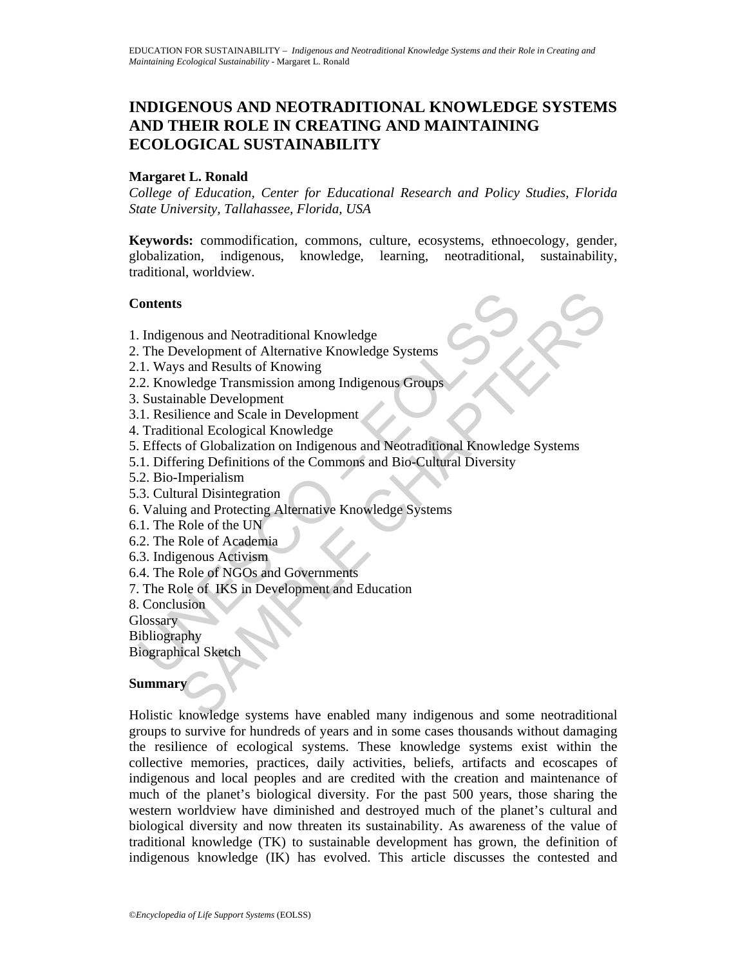# **INDIGENOUS AND NEOTRADITIONAL KNOWLEDGE SYSTEMS AND THEIR ROLE IN CREATING AND MAINTAINING ECOLOGICAL SUSTAINABILITY**

### **Margaret L. Ronald**

*College of Education, Center for Educational Research and Policy Studies, Florida State University, Tallahassee, Florida, USA* 

**Keywords:** commodification, commons, culture, ecosystems, ethnoecology, gender, globalization, indigenous, knowledge, learning, neotraditional, sustainability, traditional, worldview.

#### **Contents**

- 1. Indigenous and Neotraditional Knowledge
- 2. The Development of Alternative Knowledge Systems
- 2.1. Ways and Results of Knowing
- 2.2. Knowledge Transmission among Indigenous Groups
- 3. Sustainable Development
- 3.1. Resilience and Scale in Development
- 4. Traditional Ecological Knowledge
- Contents<br>
1. Indigenous and Neotraditional Knowledge<br>
1. The Development of Alternative Knowledge Systems<br>
1. I. Ways and Results of Knowing<br>
2. Knowledge Transmission among Indigenous Groups<br>
5. Sustainable Development<br>
1 S<br>
Solutional Mondeland Mondeland School (Separational Mondeland School)<br>
Sama Results of Knowing<br>
Sama Results of Knowing<br>
Sama Results of Knowing<br>
Sama Results of Knowing<br>
Solution an Indigenous and Neotraditional Knowle 5. Effects of Globalization on Indigenous and Neotraditional Knowledge Systems
- 5.1. Differing Definitions of the Commons and Bio-Cultural Diversity
- 5.2. Bio-Imperialism
- 5.3. Cultural Disintegration
- 6. Valuing and Protecting Alternative Knowledge Systems
- 6.1. The Role of the UN
- 6.2. The Role of Academia
- 6.3. Indigenous Activism
- 6.4. The Role of NGOs and Governments
- 7. The Role of IKS in Development and Education
- 8. Conclusion
- **Glossary**
- Bibliography
- Biographical Sketch

#### **Summary**

Holistic knowledge systems have enabled many indigenous and some neotraditional groups to survive for hundreds of years and in some cases thousands without damaging the resilience of ecological systems. These knowledge systems exist within the collective memories, practices, daily activities, beliefs, artifacts and ecoscapes of indigenous and local peoples and are credited with the creation and maintenance of much of the planet's biological diversity. For the past 500 years, those sharing the western worldview have diminished and destroyed much of the planet's cultural and biological diversity and now threaten its sustainability. As awareness of the value of traditional knowledge (TK) to sustainable development has grown, the definition of indigenous knowledge (IK) has evolved. This article discusses the contested and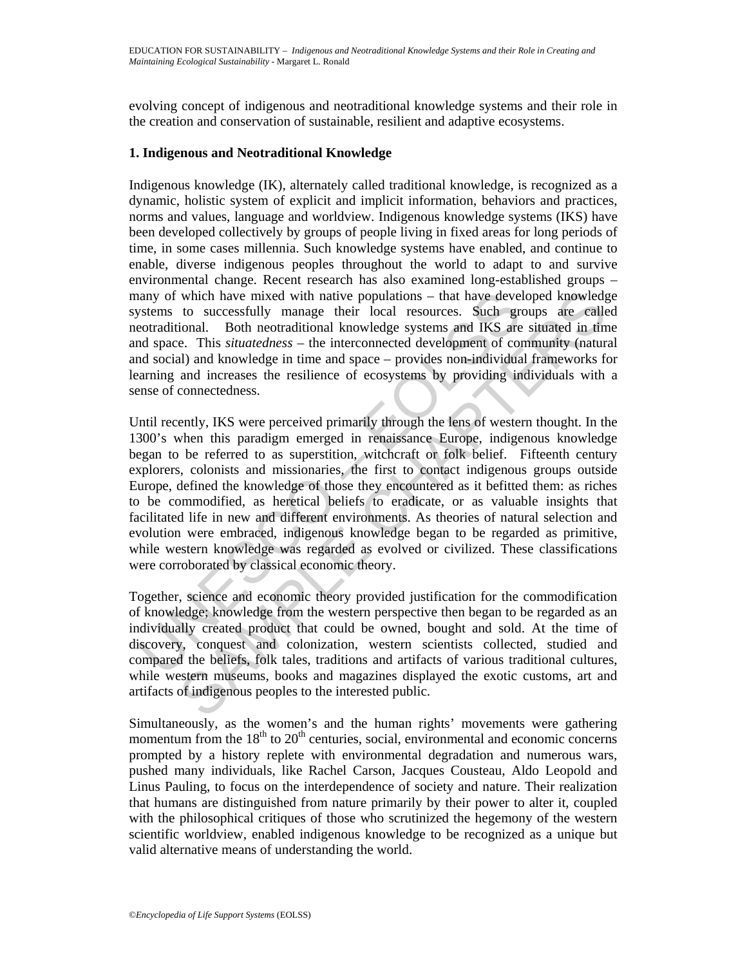evolving concept of indigenous and neotraditional knowledge systems and their role in the creation and conservation of sustainable, resilient and adaptive ecosystems.

#### **1. Indigenous and Neotraditional Knowledge**

Indigenous knowledge (IK), alternately called traditional knowledge, is recognized as a dynamic, holistic system of explicit and implicit information, behaviors and practices, norms and values, language and worldview. Indigenous knowledge systems (IKS) have been developed collectively by groups of people living in fixed areas for long periods of time, in some cases millennia. Such knowledge systems have enabled, and continue to enable, diverse indigenous peoples throughout the world to adapt to and survive environmental change. Recent research has also examined long-established groups – many of which have mixed with native populations – that have developed knowledge systems to successfully manage their local resources. Such groups are called neotraditional. Both neotraditional knowledge systems and IKS are situated in time and space. This *situatedness* – the interconnected development of community (natural and social) and knowledge in time and space – provides non-individual frameworks for learning and increases the resilience of ecosystems by providing individuals with a sense of connectedness.

alay of which have mixed with native populations – that have develvestems to successfully mange their local resources. Such gered<br>radional. Both neotradional knowledge systems and IKS are<br>obtradional. Both neotradional inc which have mixed with native populations – that have developed knowledge<br>to successfully manage their local resources. Such groups are called<br>to all Both neotraditional knowledge systems and IKS are situated in film<br>e. Thi Until recently, IKS were perceived primarily through the lens of western thought. In the 1300's when this paradigm emerged in renaissance Europe, indigenous knowledge began to be referred to as superstition, witchcraft or folk belief. Fifteenth century explorers, colonists and missionaries, the first to contact indigenous groups outside Europe, defined the knowledge of those they encountered as it befitted them: as riches to be commodified, as heretical beliefs to eradicate, or as valuable insights that facilitated life in new and different environments. As theories of natural selection and evolution were embraced, indigenous knowledge began to be regarded as primitive, while western knowledge was regarded as evolved or civilized. These classifications were corroborated by classical economic theory.

Together, science and economic theory provided justification for the commodification of knowledge; knowledge from the western perspective then began to be regarded as an individually created product that could be owned, bought and sold. At the time of discovery, conquest and colonization, western scientists collected, studied and compared the beliefs, folk tales, traditions and artifacts of various traditional cultures, while western museums, books and magazines displayed the exotic customs, art and artifacts of indigenous peoples to the interested public.

Simultaneously, as the women's and the human rights' movements were gathering momentum from the  $18<sup>th</sup>$  to  $20<sup>th</sup>$  centuries, social, environmental and economic concerns prompted by a history replete with environmental degradation and numerous wars, pushed many individuals, like Rachel Carson, Jacques Cousteau, Aldo Leopold and Linus Pauling, to focus on the interdependence of society and nature. Their realization that humans are distinguished from nature primarily by their power to alter it, coupled with the philosophical critiques of those who scrutinized the hegemony of the western scientific worldview, enabled indigenous knowledge to be recognized as a unique but valid alternative means of understanding the world.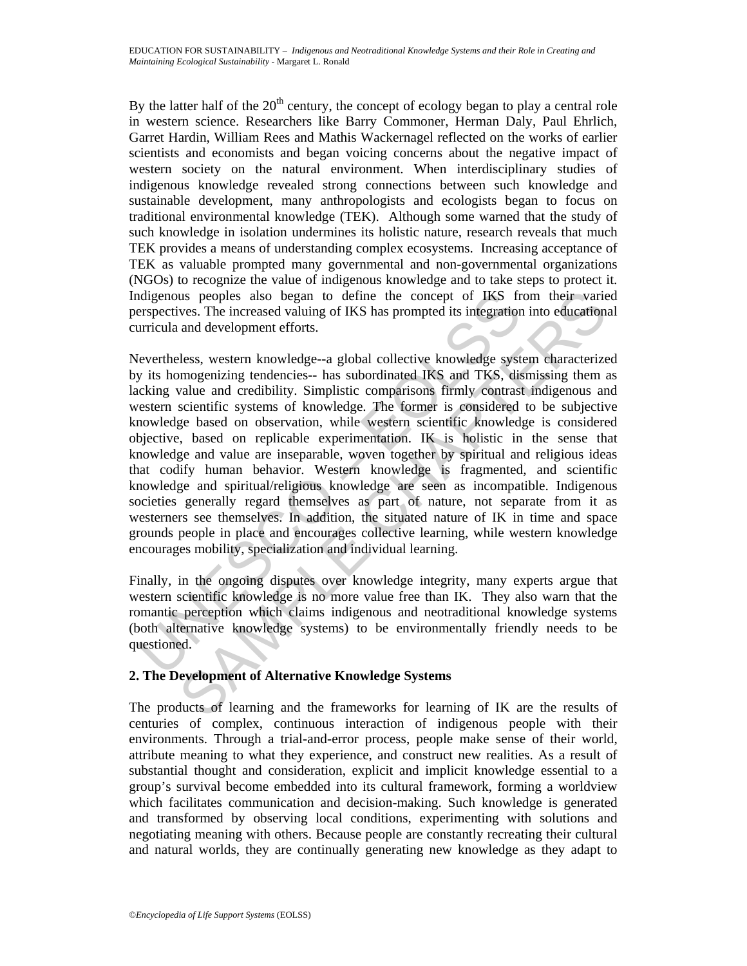By the latter half of the  $20<sup>th</sup>$  century, the concept of ecology began to play a central role in western science. Researchers like Barry Commoner, Herman Daly, Paul Ehrlich, Garret Hardin, William Rees and Mathis Wackernagel reflected on the works of earlier scientists and economists and began voicing concerns about the negative impact of western society on the natural environment. When interdisciplinary studies of indigenous knowledge revealed strong connections between such knowledge and sustainable development, many anthropologists and ecologists began to focus on traditional environmental knowledge (TEK). Although some warned that the study of such knowledge in isolation undermines its holistic nature, research reveals that much TEK provides a means of understanding complex ecosystems. Increasing acceptance of TEK as valuable prompted many governmental and non-governmental organizations (NGOs) to recognize the value of indigenous knowledge and to take steps to protect it. Indigenous peoples also began to define the concept of IKS from their varied perspectives. The increased valuing of IKS has prompted its integration into educational curricula and development efforts.

digenous peoples also began to define the concept of IKS fr<br>respectives. The increased valuing of IKS has prompted its integration<br>urricula and development efforts.<br>(evertheless, western knowledge--a global collective know us peoples also began to define the concept of IKS from their varies<br>ves. The increased valuing of IKS has prompted its integration into education<br>and development efforts.<br>Hess, western knowledge--a global collective knowl Nevertheless, western knowledge--a global collective knowledge system characterized by its homogenizing tendencies-- has subordinated IKS and TKS, dismissing them as lacking value and credibility. Simplistic comparisons firmly contrast indigenous and western scientific systems of knowledge. The former is considered to be subjective knowledge based on observation, while western scientific knowledge is considered objective, based on replicable experimentation. IK is holistic in the sense that knowledge and value are inseparable, woven together by spiritual and religious ideas that codify human behavior. Western knowledge is fragmented, and scientific knowledge and spiritual/religious knowledge are seen as incompatible. Indigenous societies generally regard themselves as part of nature, not separate from it as westerners see themselves. In addition, the situated nature of IK in time and space grounds people in place and encourages collective learning, while western knowledge encourages mobility, specialization and individual learning.

Finally, in the ongoing disputes over knowledge integrity, many experts argue that western scientific knowledge is no more value free than IK. They also warn that the romantic perception which claims indigenous and neotraditional knowledge systems (both alternative knowledge systems) to be environmentally friendly needs to be questioned.

# **2. The Development of Alternative Knowledge Systems**

The products of learning and the frameworks for learning of IK are the results of centuries of complex, continuous interaction of indigenous people with their environments. Through a trial-and-error process, people make sense of their world, attribute meaning to what they experience, and construct new realities. As a result of substantial thought and consideration, explicit and implicit knowledge essential to a group's survival become embedded into its cultural framework, forming a worldview which facilitates communication and decision-making. Such knowledge is generated and transformed by observing local conditions, experimenting with solutions and negotiating meaning with others. Because people are constantly recreating their cultural and natural worlds, they are continually generating new knowledge as they adapt to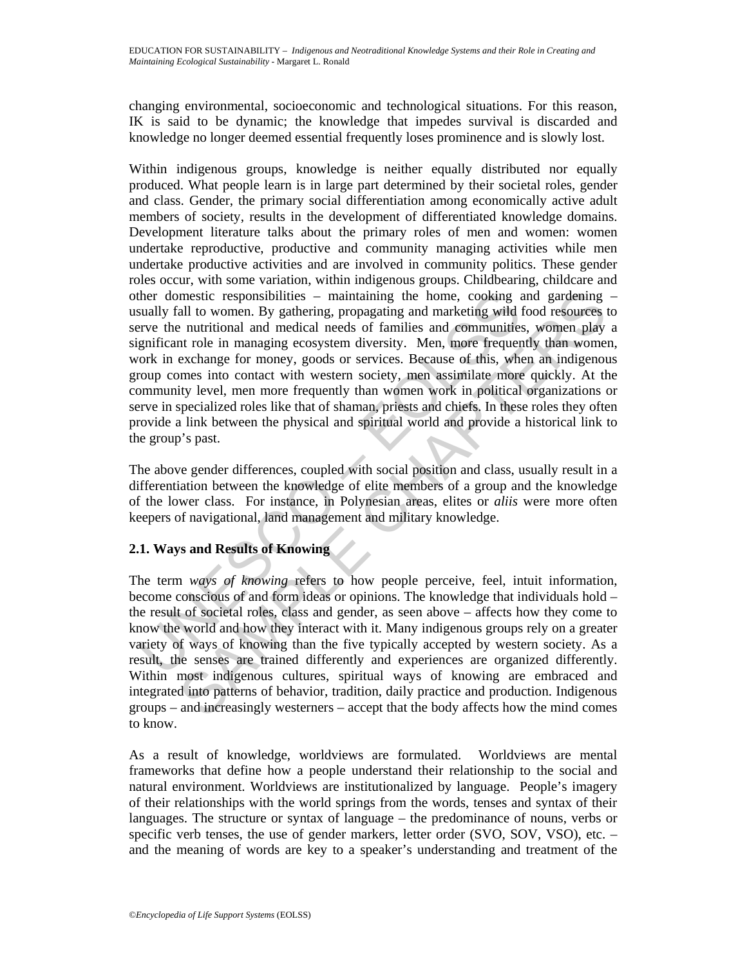changing environmental, socioeconomic and technological situations. For this reason, IK is said to be dynamic; the knowledge that impedes survival is discarded and knowledge no longer deemed essential frequently loses prominence and is slowly lost.

the domestic responsibilities – maintaining the home, cooking a<br>sually fall to women. By gathering, propagating and marketing wild rever<br>the nutritional and medical needs of families and communities<br>guificant role in manag mestic responsibilities – maintaining the home, cooking and gardening<br>all to women. By gathering, propagating and marketing wild food resources<br>and unitional and medicial needs of families and communities, women play<br>that Within indigenous groups, knowledge is neither equally distributed nor equally produced. What people learn is in large part determined by their societal roles, gender and class. Gender, the primary social differentiation among economically active adult members of society, results in the development of differentiated knowledge domains. Development literature talks about the primary roles of men and women: women undertake reproductive, productive and community managing activities while men undertake productive activities and are involved in community politics. These gender roles occur, with some variation, within indigenous groups. Childbearing, childcare and other domestic responsibilities – maintaining the home, cooking and gardening – usually fall to women. By gathering, propagating and marketing wild food resources to serve the nutritional and medical needs of families and communities, women play a significant role in managing ecosystem diversity. Men, more frequently than women, work in exchange for money, goods or services. Because of this, when an indigenous group comes into contact with western society, men assimilate more quickly. At the community level, men more frequently than women work in political organizations or serve in specialized roles like that of shaman, priests and chiefs. In these roles they often provide a link between the physical and spiritual world and provide a historical link to the group's past.

The above gender differences, coupled with social position and class, usually result in a differentiation between the knowledge of elite members of a group and the knowledge of the lower class. For instance, in Polynesian areas, elites or *aliis* were more often keepers of navigational, land management and military knowledge.

# **2.1. Ways and Results of Knowing**

The term *ways of knowing* refers to how people perceive, feel, intuit information, become conscious of and form ideas or opinions. The knowledge that individuals hold – the result of societal roles, class and gender, as seen above – affects how they come to know the world and how they interact with it. Many indigenous groups rely on a greater variety of ways of knowing than the five typically accepted by western society. As a result, the senses are trained differently and experiences are organized differently. Within most indigenous cultures, spiritual ways of knowing are embraced and integrated into patterns of behavior, tradition, daily practice and production. Indigenous groups – and increasingly westerners – accept that the body affects how the mind comes to know.

As a result of knowledge, worldviews are formulated. Worldviews are mental frameworks that define how a people understand their relationship to the social and natural environment. Worldviews are institutionalized by language. People's imagery of their relationships with the world springs from the words, tenses and syntax of their languages. The structure or syntax of language – the predominance of nouns, verbs or specific verb tenses, the use of gender markers, letter order (SVO, SOV, VSO), etc. – and the meaning of words are key to a speaker's understanding and treatment of the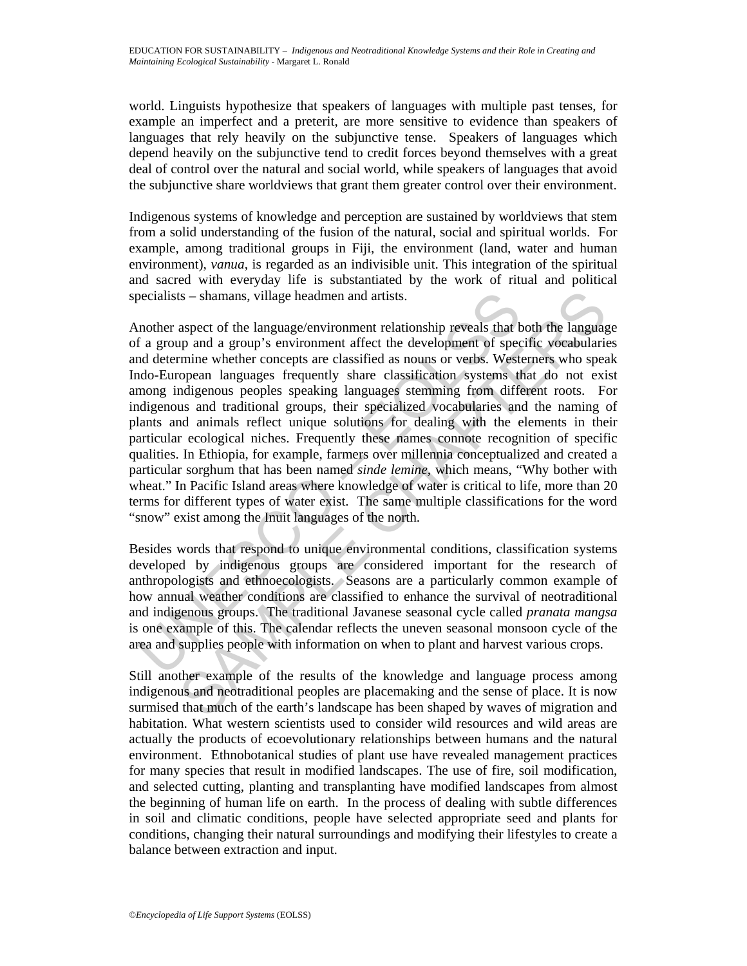world. Linguists hypothesize that speakers of languages with multiple past tenses, for example an imperfect and a preterit, are more sensitive to evidence than speakers of languages that rely heavily on the subjunctive tense. Speakers of languages which depend heavily on the subjunctive tend to credit forces beyond themselves with a great deal of control over the natural and social world, while speakers of languages that avoid the subjunctive share worldviews that grant them greater control over their environment.

Indigenous systems of knowledge and perception are sustained by worldviews that stem from a solid understanding of the fusion of the natural, social and spiritual worlds. For example, among traditional groups in Fiji, the environment (land, water and human environment), *vanua*, is regarded as an indivisible unit. This integration of the spiritual and sacred with everyday life is substantiated by the work of ritual and political specialists – shamans, village headmen and artists.

becialists – shamans, village headmen and artists.<br>
nother aspect of the language/environment relationship reveals that If a group and a group's environment affect the development of spect<br>
of a group and a group's environ Is – shamans, village headmen and artists.<br>
aspect of the language/environment relationship reveals that both the language<br>
my and a group's environment affect the development of specific vocabularie<br>
mimine whether concep Another aspect of the language/environment relationship reveals that both the language of a group and a group's environment affect the development of specific vocabularies and determine whether concepts are classified as nouns or verbs. Westerners who speak Indo-European languages frequently share classification systems that do not exist among indigenous peoples speaking languages stemming from different roots. For indigenous and traditional groups, their specialized vocabularies and the naming of plants and animals reflect unique solutions for dealing with the elements in their particular ecological niches. Frequently these names connote recognition of specific qualities. In Ethiopia, for example, farmers over millennia conceptualized and created a particular sorghum that has been named *sinde lemine,* which means, "Why bother with wheat." In Pacific Island areas where knowledge of water is critical to life, more than 20 terms for different types of water exist. The same multiple classifications for the word "snow" exist among the Inuit languages of the north.

Besides words that respond to unique environmental conditions, classification systems developed by indigenous groups are considered important for the research of anthropologists and ethnoecologists. Seasons are a particularly common example of how annual weather conditions are classified to enhance the survival of neotraditional and indigenous groups. The traditional Javanese seasonal cycle called *pranata mangsa* is one example of this. The calendar reflects the uneven seasonal monsoon cycle of the area and supplies people with information on when to plant and harvest various crops.

Still another example of the results of the knowledge and language process among indigenous and neotraditional peoples are placemaking and the sense of place. It is now surmised that much of the earth's landscape has been shaped by waves of migration and habitation. What western scientists used to consider wild resources and wild areas are actually the products of ecoevolutionary relationships between humans and the natural environment. Ethnobotanical studies of plant use have revealed management practices for many species that result in modified landscapes. The use of fire, soil modification, and selected cutting, planting and transplanting have modified landscapes from almost the beginning of human life on earth. In the process of dealing with subtle differences in soil and climatic conditions, people have selected appropriate seed and plants for conditions, changing their natural surroundings and modifying their lifestyles to create a balance between extraction and input.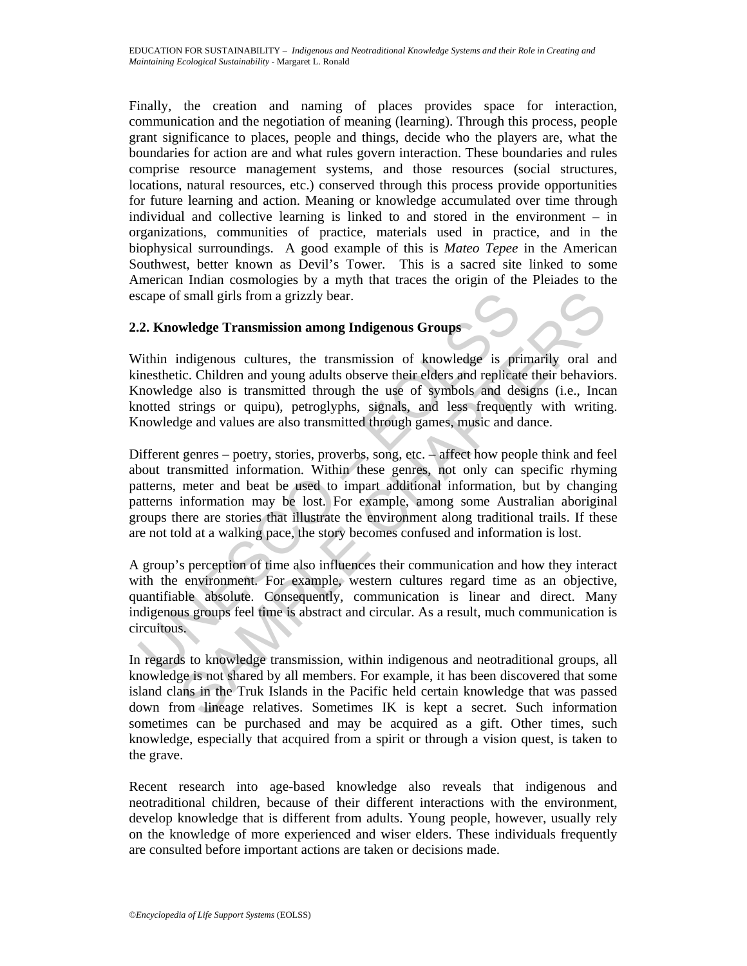Finally, the creation and naming of places provides space for interaction, communication and the negotiation of meaning (learning). Through this process, people grant significance to places, people and things, decide who the players are, what the boundaries for action are and what rules govern interaction. These boundaries and rules comprise resource management systems, and those resources (social structures, locations, natural resources, etc.) conserved through this process provide opportunities for future learning and action. Meaning or knowledge accumulated over time through individual and collective learning is linked to and stored in the environment – in organizations, communities of practice, materials used in practice, and in the biophysical surroundings. A good example of this is *Mateo Tepee* in the American Southwest, better known as Devil's Tower. This is a sacred site linked to some American Indian cosmologies by a myth that traces the origin of the Pleiades to the escape of small girls from a grizzly bear.

### **2.2. Knowledge Transmission among Indigenous Groups**

Within indigenous cultures, the transmission of knowledge is primarily oral and kinesthetic. Children and young adults observe their elders and replicate their behaviors. Knowledge also is transmitted through the use of symbols and designs (i.e., Incan knotted strings or quipu), petroglyphs, signals, and less frequently with writing. Knowledge and values are also transmitted through games, music and dance.

cape of small girls from a grizzly bear.<br>
2. Knowledge Transmission among Indigenous Groups<br>
7. Knowledge Transmission among Indigenous Groups<br>
7. Thin indigenous cultures, the transmission of knowledge is primes<br>
therefor f small girls from a grizzly bear.<br>
wledge Transmission among Indigenous Groups<br>
indigenous cultures, the transmission of knowledge is primarily oral and<br>
i.e. Children and young adults observe their elders and replicate t Different genres – poetry, stories, proverbs, song, etc. – affect how people think and feel about transmitted information. Within these genres, not only can specific rhyming patterns, meter and beat be used to impart additional information, but by changing patterns information may be lost. For example, among some Australian aboriginal groups there are stories that illustrate the environment along traditional trails. If these are not told at a walking pace, the story becomes confused and information is lost.

A group's perception of time also influences their communication and how they interact with the environment. For example, western cultures regard time as an objective, quantifiable absolute. Consequently, communication is linear and direct. Many indigenous groups feel time is abstract and circular. As a result, much communication is circuitous.

In regards to knowledge transmission, within indigenous and neotraditional groups, all knowledge is not shared by all members. For example, it has been discovered that some island clans in the Truk Islands in the Pacific held certain knowledge that was passed down from lineage relatives. Sometimes IK is kept a secret. Such information sometimes can be purchased and may be acquired as a gift. Other times, such knowledge, especially that acquired from a spirit or through a vision quest, is taken to the grave.

Recent research into age-based knowledge also reveals that indigenous and neotraditional children, because of their different interactions with the environment, develop knowledge that is different from adults. Young people, however, usually rely on the knowledge of more experienced and wiser elders. These individuals frequently are consulted before important actions are taken or decisions made.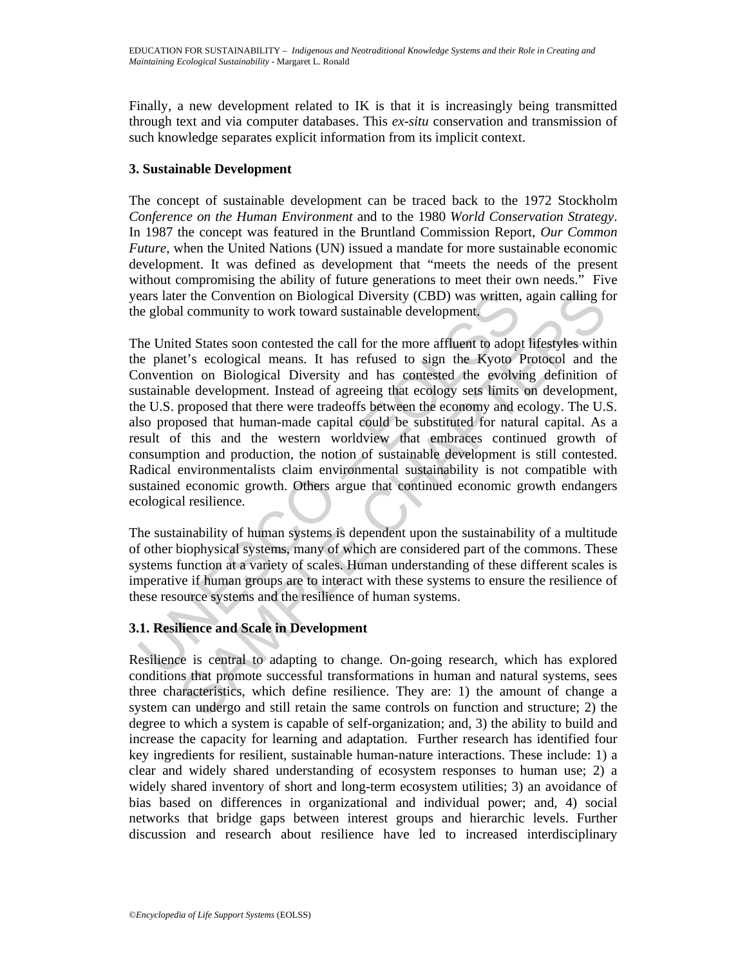Finally, a new development related to IK is that it is increasingly being transmitted through text and via computer databases. This *ex-situ* conservation and transmission of such knowledge separates explicit information from its implicit context.

## **3. Sustainable Development**

The concept of sustainable development can be traced back to the 1972 Stockholm *Conference on the Human Environment* and to the 1980 *World Conservation Strategy*. In 1987 the concept was featured in the Bruntland Commission Report, *Our Common Future*, when the United Nations (UN) issued a mandate for more sustainable economic development. It was defined as development that "meets the needs of the present without compromising the ability of future generations to meet their own needs." Five years later the Convention on Biological Diversity (CBD) was written, again calling for the global community to work toward sustainable development.

ears later the Convention on Biological Diversity (CBD) was written,<br>e global community to work toward sustainable development.<br>he United States soon contested the call for the more affluent to adop<br>e planet's ecological m er the Convention on Biological Diversity (CBD) was written, again calling ft<br>d community to work toward sustainable development.<br>ed States soon contested the call for the more affluent to adopt lifestyles with<br>else ologic The United States soon contested the call for the more affluent to adopt lifestyles within the planet's ecological means. It has refused to sign the Kyoto Protocol and the Convention on Biological Diversity and has contested the evolving definition of sustainable development. Instead of agreeing that ecology sets limits on development, the U.S. proposed that there were tradeoffs between the economy and ecology. The U.S. also proposed that human-made capital could be substituted for natural capital. As a result of this and the western worldview that embraces continued growth of consumption and production, the notion of sustainable development is still contested. Radical environmentalists claim environmental sustainability is not compatible with sustained economic growth. Others argue that continued economic growth endangers ecological resilience.

The sustainability of human systems is dependent upon the sustainability of a multitude of other biophysical systems, many of which are considered part of the commons. These systems function at a variety of scales. Human understanding of these different scales is imperative if human groups are to interact with these systems to ensure the resilience of these resource systems and the resilience of human systems.

# **3.1. Resilience and Scale in Development**

Resilience is central to adapting to change. On-going research, which has explored conditions that promote successful transformations in human and natural systems, sees three characteristics, which define resilience. They are: 1) the amount of change a system can undergo and still retain the same controls on function and structure; 2) the degree to which a system is capable of self-organization; and, 3) the ability to build and increase the capacity for learning and adaptation. Further research has identified four key ingredients for resilient, sustainable human-nature interactions. These include: 1) a clear and widely shared understanding of ecosystem responses to human use; 2) a widely shared inventory of short and long-term ecosystem utilities; 3) an avoidance of bias based on differences in organizational and individual power; and, 4) social networks that bridge gaps between interest groups and hierarchic levels. Further discussion and research about resilience have led to increased interdisciplinary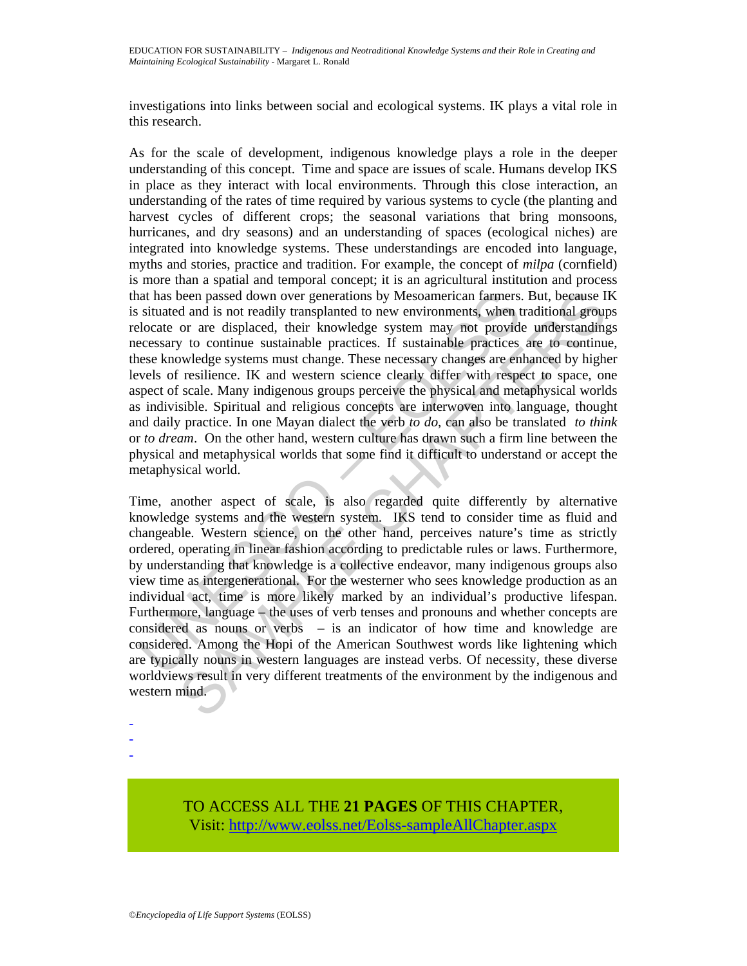investigations into links between social and ecological systems. IK plays a vital role in this research.

at has been passed down over generations by Mesoamerican farmers.<br>
situated and is not readily transplaned to new environments, when t<br>
elocate or are displaced, their knowledge system may not provide<br>
eccessary to continu As for the scale of development, indigenous knowledge plays a role in the deeper understanding of this concept. Time and space are issues of scale. Humans develop IKS in place as they interact with local environments. Through this close interaction, an understanding of the rates of time required by various systems to cycle (the planting and harvest cycles of different crops; the seasonal variations that bring monsoons, hurricanes, and dry seasons) and an understanding of spaces (ecological niches) are integrated into knowledge systems. These understandings are encoded into language, myths and stories, practice and tradition. For example, the concept of *milpa* (cornfield) is more than a spatial and temporal concept; it is an agricultural institution and process that has been passed down over generations by Mesoamerican farmers. But, because IK is situated and is not readily transplanted to new environments, when traditional groups relocate or are displaced, their knowledge system may not provide understandings necessary to continue sustainable practices. If sustainable practices are to continue, these knowledge systems must change. These necessary changes are enhanced by higher levels of resilience. IK and western science clearly differ with respect to space, one aspect of scale. Many indigenous groups perceive the physical and metaphysical worlds as indivisible. Spiritual and religious concepts are interwoven into language, thought and daily practice. In one Mayan dialect the verb *to do*, can also be translated *to think* or *to dream*. On the other hand, western culture has drawn such a firm line between the physical and metaphysical worlds that some find it difficult to understand or accept the metaphysical world.

been passed down over generations by Mesoamerican farmers. But, because II and is not readily transplanted to new environments, when traidivinal group or are displaced, their knowledge system may not provide understanding Time, another aspect of scale, is also regarded quite differently by alternative knowledge systems and the western system. IKS tend to consider time as fluid and changeable. Western science, on the other hand, perceives nature's time as strictly ordered, operating in linear fashion according to predictable rules or laws. Furthermore, by understanding that knowledge is a collective endeavor, many indigenous groups also view time as intergenerational. For the westerner who sees knowledge production as an individual act, time is more likely marked by an individual's productive lifespan. Furthermore, language – the uses of verb tenses and pronouns and whether concepts are considered as nouns or verbs – is an indicator of how time and knowledge are considered. Among the Hopi of the American Southwest words like lightening which are typically nouns in western languages are instead verbs. Of necessity, these diverse worldviews result in very different treatments of the environment by the indigenous and western mind.

- -

-

TO ACCESS ALL THE **21 PAGES** OF THIS CHAPTER, Visit[: http://www.eolss.net/Eolss-sampleAllChapter.aspx](https://www.eolss.net/ebooklib/sc_cart.aspx?File=E6-61-05-06)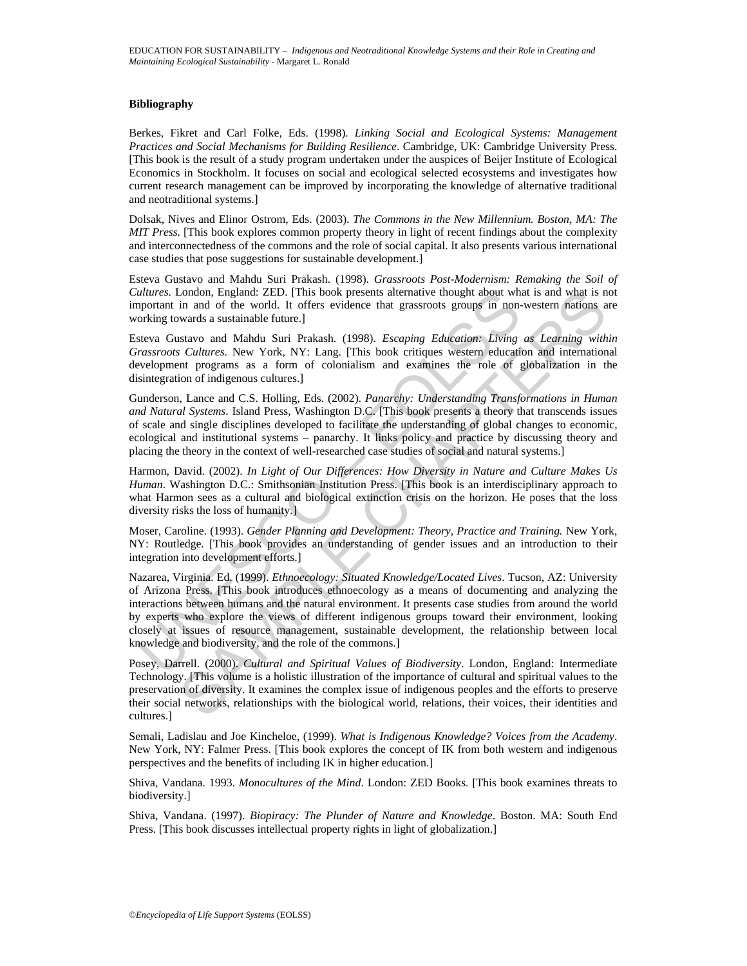#### **Bibliography**

Berkes, Fikret and Carl Folke, Eds. (1998). *Linking Social and Ecological Systems: Management Practices and Social Mechanisms for Building Resilience*. Cambridge, UK: Cambridge University Press. [This book is the result of a study program undertaken under the auspices of Beijer Institute of Ecological Economics in Stockholm. It focuses on social and ecological selected ecosystems and investigates how current research management can be improved by incorporating the knowledge of alternative traditional and neotraditional systems.]

Dolsak, Nives and Elinor Ostrom, Eds. (2003). *The Commons in the New Millennium. Boston, MA: The MIT Press.* [This book explores common property theory in light of recent findings about the complexity and interconnectedness of the commons and the role of social capital. It also presents various international case studies that pose suggestions for sustainable development.]

Esteva Gustavo and Mahdu Suri Prakash. (1998). *Grassroots Post-Modernism: Remaking the Soil of Cultures.* London, England: ZED. [This book presents alternative thought about what is and what is not important in and of the world. It offers evidence that grassroots groups in non-western nations are working towards a sustainable future.]

Esteva Gustavo and Mahdu Suri Prakash. (1998). *Escaping Education: Living as Learning within Grassroots Cultures*. New York, NY: Lang. [This book critiques western education and international development programs as a form of colonialism and examines the role of globalization in the disintegration of indigenous cultures.]

Gunderson, Lance and C.S. Holling, Eds. (2002). *Panarchy: Understanding Transformations in Human and Natural Systems*. Island Press, Washington D.C. [This book presents a theory that transcends issues of scale and single disciplines developed to facilitate the understanding of global changes to economic, ecological and institutional systems – panarchy. It links policy and practice by discussing theory and placing the theory in the context of well-researched case studies of social and natural systems.]

Harmon, David. (2002). *In Light of Our Differences: How Diversity in Nature and Culture Makes Us Human*. Washington D.C.: Smithsonian Institution Press. [This book is an interdisciplinary approach to what Harmon sees as a cultural and biological extinction crisis on the horizon. He poses that the loss diversity risks the loss of humanity.]

Moser, Caroline. (1993). *Gender Planning and Development: Theory, Practice and Training.* New York, NY: Routledge. [This book provides an understanding of gender issues and an introduction to their integration into development efforts.]

ultures. London, England: ZED. [This book presents alternative thought about whis<br>protrain in and of the world. It offers evidence that grassroots groups in non-<br>orking towards a sustainable future.]<br>teva Gustavo and Mahdu London, England: ZED. (This book presents alternative thought about what is and what is comparison in and of the world. It offers evidence that grassroots groups in non-western nations a wards a sustainable future.]<br>
in a Nazarea, Virginia. Ed. (1999). *Ethnoecology: Situated Knowledge/Located Lives*. Tucson, AZ: University of Arizona Press. [This book introduces ethnoecology as a means of documenting and analyzing the interactions between humans and the natural environment. It presents case studies from around the world by experts who explore the views of different indigenous groups toward their environment, looking closely at issues of resource management, sustainable development, the relationship between local knowledge and biodiversity, and the role of the commons.]

Posey, Darrell. (2000). *Cultural and Spiritual Values of Biodiversity*. London, England: Intermediate Technology. [This volume is a holistic illustration of the importance of cultural and spiritual values to the preservation of diversity. It examines the complex issue of indigenous peoples and the efforts to preserve their social networks, relationships with the biological world, relations, their voices, their identities and cultures.]

Semali, Ladislau and Joe Kincheloe, (1999). *What is Indigenous Knowledge? Voices from the Academy*. New York, NY: Falmer Press. [This book explores the concept of IK from both western and indigenous perspectives and the benefits of including IK in higher education.]

Shiva, Vandana. 1993. *Monocultures of the Mind*. London: ZED Books. [This book examines threats to biodiversity.]

Shiva, Vandana. (1997). *Biopiracy: The Plunder of Nature and Knowledge*. Boston. MA: South End Press. [This book discusses intellectual property rights in light of globalization.]